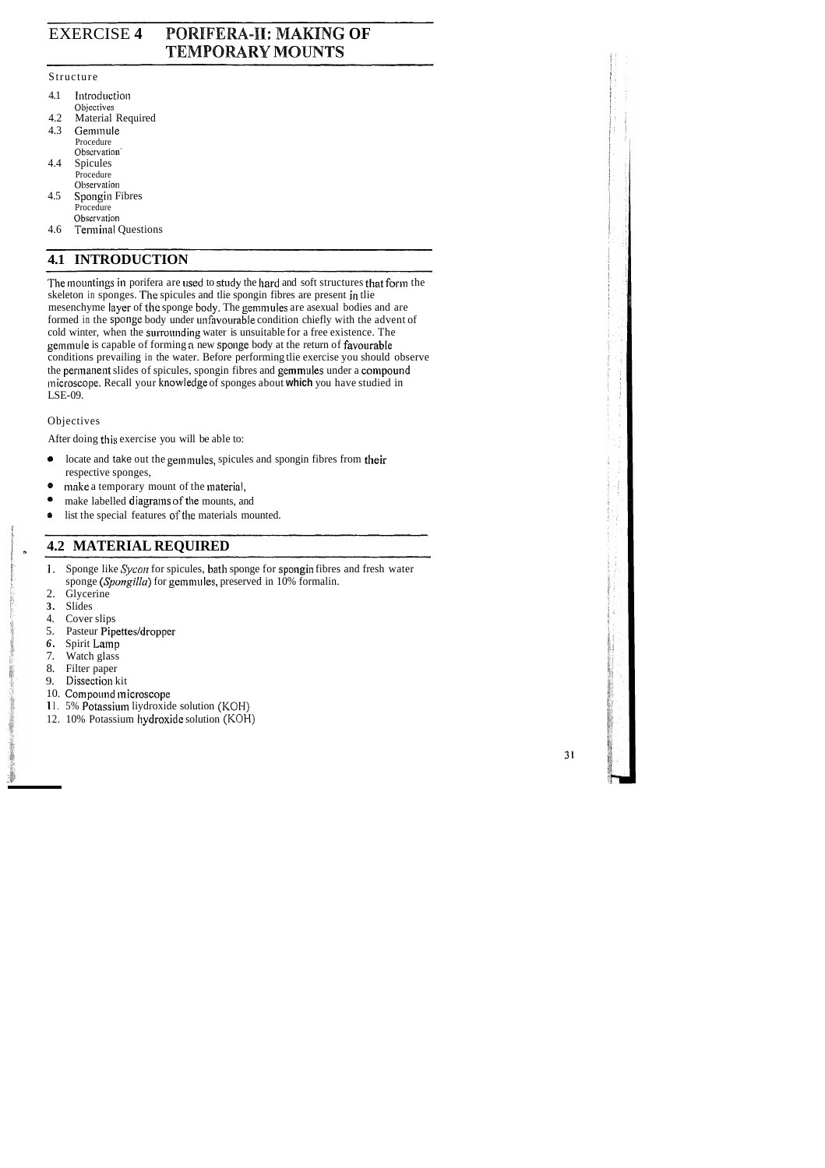# EXERCISE **4 POPIIFERA-11: MAKING OF TEMPORARY MOUNTS**

## Structure

- 4.1 Introduction Objectives
- 4.2 Material Required<br>4.3 Gemmule
- Gemmule Procedure Observation' 4.4 Spicules
- Procedure Observation
- 4.5 Spongin Fibres Procedure Observation
- 4.6 Terminal Questions

# **4.1 INTRODUCTION**

The mountings in porifera are used to study the hard and soft structures that form the skeleton in sponges. The spicules and tlie spongin fibres are present in tlie mesenchyme layer of the sponge body. The gemmules are asexual bodies and are formed in the sponge body under unfavourable condition chiefly with the advent of cold winter, when the surrounding water is unsuitable for a free existence. The gemmule is capable of forming a new sponge body at the return of favourable conditions prevailing in the water. Before performing tlie exercise you should observe the permanent slides of spicules, spongin fibres and gemmules under a compound microscope. Recall your knowledge of sponges about which you have studied in LSE-09.

- **e** locate and take out the gemmulcs, spicules and spongin fibres from their respective sponges,
- make a temporary mount of the material,
- make labelled diagrams of the mounts, and
- list the special features of the materials mounted.  $\bullet$

## Objectives

After doing this exercise you will be able to:

## **4.2 MATERIAL REQUIRED**

- **1.** Sponge like *Sycon* for spicules, bath sponge for spongin fibres and fresh water sponge (Spongilla) for gemmules, preserved in 10% formalin.
- 2. Glycerine
- **3.** Slides
- 4. Cover slips
- 5. Pasteur Pipettes/dropper
- *6.* Spirit Lamp
- Watch glass
- 8. Filter paper
- 9. Dissection kit
- 10. Compound microscope
- 11. 5% Potassium liydroxide solution (KOH)
- 12. 10% Potassium liydroxide solution (KOH)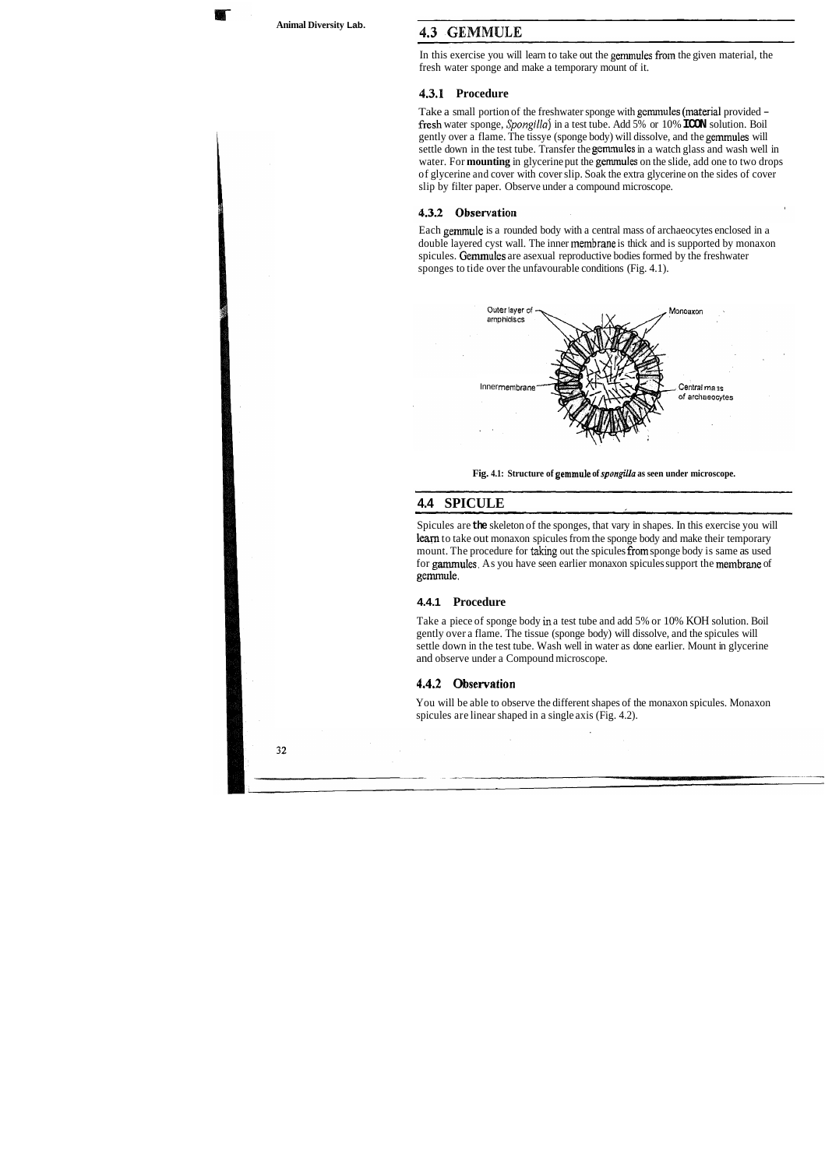**Animal Diversity Lab.** 

## 4.3 GEMMULE

In this exercise you will learn to take out the gemmules from the given material, the fresh water sponge and make a temporary mount of it.

### **4.3.1 Procedure**

Take a small portion of the freshwater sponge with gemnules (material provided fresh water sponge, *Spongillaj* in a test tube. Add 5% or 10% **ICON** solution. Boil gently over a flame. The tissye (sponge body) will dissolve, and the gemmules will settle down in the test tube. Transfer the gemrnules in a watch glass and wash well in water. For **mounting** in glycerine put the gemmules on the slide, add one to two drops of glycerine and cover with cover slip. Soak the extra glycerine on the sides of cover slip by filter paper. Observe under a compound microscope.

### 4.3.2 Observation

Each gemmule is a rounded body with a central mass of archaeocytes enclosed in a double layered cyst wall. The inner membrane is thick and is supported by monaxon spicules. Gemmules are asexual reproductive bodies formed by the freshwater sponges to tide over the unfavourable conditions (Fig. 4.1).



**Fig. 4.1: Structure of gemmule of** *spongilla* **as seen under microscope.** 

## **4.4 SPICULE**

Spicules are **the** skeleton of the sponges, that vary in shapes. In this exercise you will leam to take out monaxon spicules from the sponge body and make their temporary mount. The procedure for taking out the spicules from sponge body is same as used for garnmules. As you have seen earlier monaxon spicules support the membrane of gernmule.

#### **4.4.1 Procedure**

Take a piece of sponge body in a test tube and add 5% or 10% KOH solution. Boil gently over a flame. The tissue (sponge body) will dissolve, and the spicules will settle down in the test tube. Wash well in water as done earlier. Mount in glycerine and observe under a Compound microscope.

#### **4.4.2 0 bservation**

You will be able to observe the different shapes of the monaxon spicules. Monaxon spicules are linear shaped in a single axis (Fig. 4.2).

32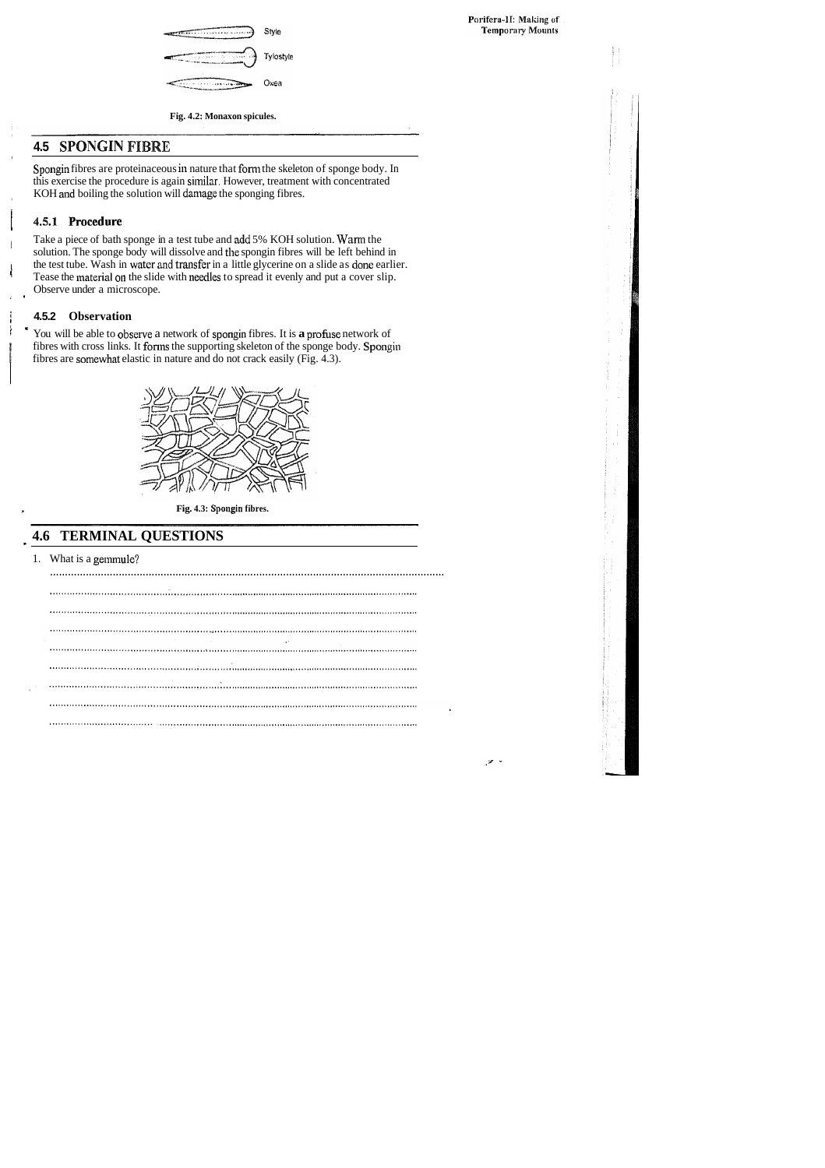

Fig. 4.2: Monaxon spicules.

## **4.5 SPONGIN FIBRE**

Spongin fibres are proteinaceous in nature that form the skeleton of sponge body. In this exercise the procedure is again similar. However, treatment with concentrated KOH and boiling the solution will damage the sponging fibres.

## 4.5.1 Procedure

Take a piece of bath sponge in a test tube and add 5% KOH solution. Warm the solution. The sponge body will dissolve and the spongin fibres will be left behind in the test tube. Wash in water and transfer in a little glycerine on a slide as done earlier. Tease the material on the slide with needles to spread it evenly and put a cover slip. Observe under a microscope.

## 4.5.2 Observation

Ĵ

You will be able to observe a network of spongin fibres. It is a profuse network of fibres with cross links. It forms the supporting skeleton of the sponge body. Spongin fibres are somewhat elastic in nature and do not crack easily (Fig. 4.3).



Fig. 4.3: Spongin fibres.

## **4.6 TERMINAL QUESTIONS**

1. What is a gemmule?

 $\sim 10$ 

Porifera-II: Making of **Temporary Mounts** 

- 70